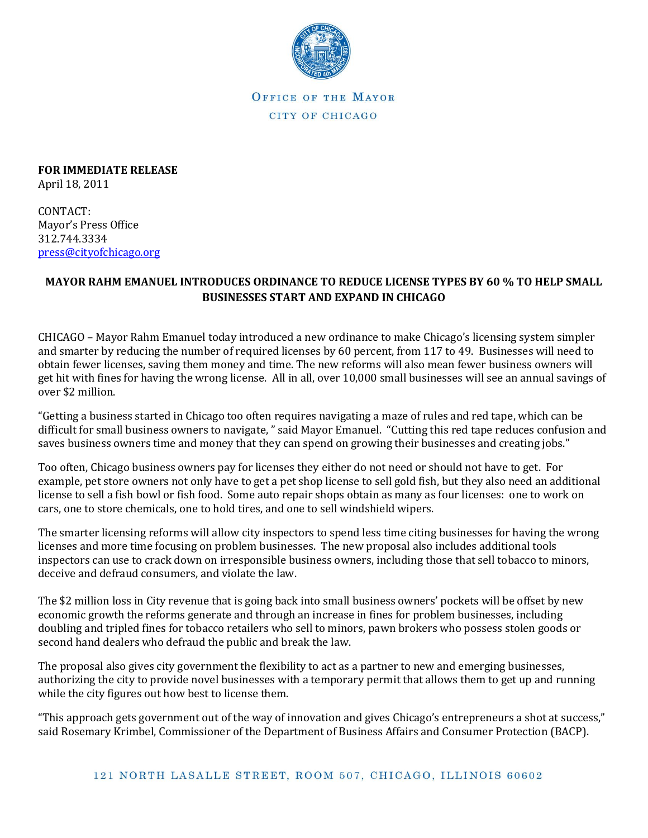

OFFICE OF THE MAYOR CITY OF CHICAGO

**FOR IMMEDIATE RELEASE** April 18, 2011

CONTACT: Mayor's Press Office 312.744.3334 [press@cityofchicago.org](mailto:press@cityofchicago.org)

## **MAYOR RAHM EMANUEL INTRODUCES ORDINANCE TO REDUCE LICENSE TYPES BY 60 % TO HELP SMALL BUSINESSES START AND EXPAND IN CHICAGO**

CHICAGO – Mayor Rahm Emanuel today introduced a new ordinance to make Chicago's licensing system simpler and smarter by reducing the number of required licenses by 60 percent, from 117 to 49. Businesses will need to obtain fewer licenses, saving them money and time. The new reforms will also mean fewer business owners will get hit with fines for having the wrong license. All in all, over 10,000 small businesses will see an annual savings of over \$2 million.

"Getting a business started in Chicago too often requires navigating a maze of rules and red tape, which can be difficult for small business owners to navigate, " said Mayor Emanuel. "Cutting this red tape reduces confusion and saves business owners time and money that they can spend on growing their businesses and creating jobs."

Too often, Chicago business owners pay for licenses they either do not need or should not have to get. For example, pet store owners not only have to get a pet shop license to sell gold fish, but they also need an additional license to sell a fish bowl or fish food. Some auto repair shops obtain as many as four licenses: one to work on cars, one to store chemicals, one to hold tires, and one to sell windshield wipers.

The smarter licensing reforms will allow city inspectors to spend less time citing businesses for having the wrong licenses and more time focusing on problem businesses. The new proposal also includes additional tools inspectors can use to crack down on irresponsible business owners, including those that sell tobacco to minors, deceive and defraud consumers, and violate the law.

The \$2 million loss in City revenue that is going back into small business owners' pockets will be offset by new economic growth the reforms generate and through an increase in fines for problem businesses, including doubling and tripled fines for tobacco retailers who sell to minors, pawn brokers who possess stolen goods or second hand dealers who defraud the public and break the law.

The proposal also gives city government the flexibility to act as a partner to new and emerging businesses, authorizing the city to provide novel businesses with a temporary permit that allows them to get up and running while the city figures out how best to license them.

"This approach gets government out of the way of innovation and gives Chicago's entrepreneurs a shot at success," said Rosemary Krimbel, Commissioner of the Department of Business Affairs and Consumer Protection (BACP).